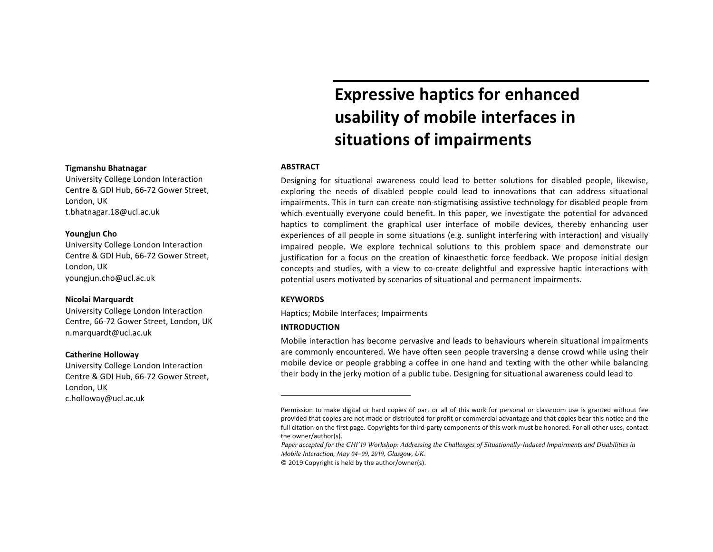### **Tigmanshu Bhatnagar**

University College London Interaction Centre & GDI Hub, 66-72 Gower Street, London, UK t.bhatnagar.18@ucl.ac.uk

## **Youngjun Cho**

University College London Interaction Centre & GDI Hub, 66-72 Gower Street, London, UK youngjun.cho@ucl.ac.uk

## **Nicolai Marquardt**

University College London Interaction Centre, 66-72 Gower Street, London, UK n.marquardt@ucl.ac.uk

## **Catherine Holloway**

University College London Interaction Centre & GDI Hub, 66-72 Gower Street, London, UK c.holloway@ucl.ac.uk

# **Expressive haptics for enhanced usability of mobile interfaces in situations of impairments**

# **ABSTRACT<sup>1</sup>**

Designing for situational awareness could lead to better solutions for disabled people, likewise, exploring the needs of disabled people could lead to innovations that can address situational impairments. This in turn can create non-stigmatising assistive technology for disabled people from which eventually everyone could benefit. In this paper, we investigate the potential for advanced haptics to compliment the graphical user interface of mobile devices, thereby enhancing user experiences of all people in some situations (e.g. sunlight interfering with interaction) and visually impaired people. We explore technical solutions to this problem space and demonstrate our justification for a focus on the creation of kinaesthetic force feedback. We propose initial design concepts and studies, with a view to co-create delightful and expressive haptic interactions with potential users motivated by scenarios of situational and permanent impairments.

### **KEYWORDS**

Haptics; Mobile Interfaces; Impairments

# **INTRODUCTION**

Mobile interaction has become pervasive and leads to behaviours wherein situational impairments are commonly encountered. We have often seen people traversing a dense crowd while using their mobile device or people grabbing a coffee in one hand and texting with the other while balancing their body in the jerky motion of a public tube. Designing for situational awareness could lead to

© 2019 Copyright is held by the author/owner(s). 

Permission to make digital or hard copies of part or all of this work for personal or classroom use is granted without fee provided that copies are not made or distributed for profit or commercial advantage and that copies bear this notice and the full citation on the first page. Copyrights for third-party components of this work must be honored. For all other uses, contact the owner/author(s).

*Paper accepted for the CHI'19 Workshop: Addressing the Challenges of Situationally-Induced Impairments and Disabilities in Mobile Interaction, May 04–09, 2019, Glasgow, UK.*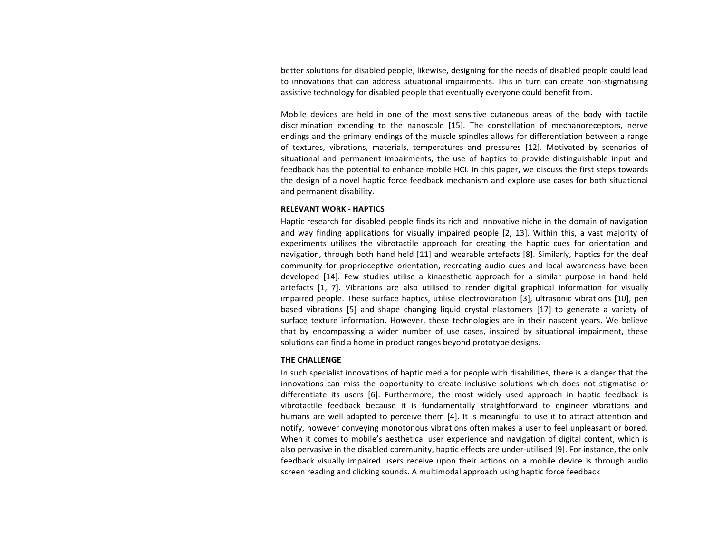better solutions for disabled people, likewise, designing for the needs of disabled people could lead to innovations that can address situational impairments. This in turn can create non-stigmatising assistive technology for disabled people that eventually everyone could benefit from.

Mobile devices are held in one of the most sensitive cutaneous areas of the body with tactile discrimination extending to the nanoscale [15]. The constellation of mechanoreceptors, nerve endings and the primary endings of the muscle spindles allows for differentiation between a range of textures, vibrations, materials, temperatures and pressures [12]. Motivated by scenarios of situational and permanent impairments, the use of haptics to provide distinguishable input and feedback has the potential to enhance mobile HCI. In this paper, we discuss the first steps towards the design of a novel haptic force feedback mechanism and explore use cases for both situational and permanent disability.

# **RELEVANT WORK - HAPTICS**

Haptic research for disabled people finds its rich and innovative niche in the domain of navigation and way finding applications for visually impaired people [2, 13]. Within this, a vast majority of experiments utilises the vibrotactile approach for creating the haptic cues for orientation and navigation, through both hand held [11] and wearable artefacts [8]. Similarly, haptics for the deaf community for proprioceptive orientation, recreating audio cues and local awareness have been developed [14]. Few studies utilise a kinaesthetic approach for a similar purpose in hand held artefacts [1, 7]. Vibrations are also utilised to render digital graphical information for visually impaired people. These surface haptics, utilise electrovibration [3], ultrasonic vibrations [10], pen based vibrations [5] and shape changing liquid crystal elastomers [17] to generate a variety of surface texture information. However, these technologies are in their nascent years. We believe that by encompassing a wider number of use cases, inspired by situational impairment, these solutions can find a home in product ranges beyond prototype designs.

## **THE CHALLENGE**

In such specialist innovations of haptic media for people with disabilities, there is a danger that the innovations can miss the opportunity to create inclusive solutions which does not stigmatise or differentiate its users [6]. Furthermore, the most widely used approach in haptic feedback is vibrotactile feedback because it is fundamentally straightforward to engineer vibrations and humans are well adapted to perceive them [4]. It is meaningful to use it to attract attention and notify, however conveving monotonous vibrations often makes a user to feel unpleasant or bored. When it comes to mobile's aesthetical user experience and navigation of digital content, which is also pervasive in the disabled community, haptic effects are under-utilised [9]. For instance, the only feedback visually impaired users receive upon their actions on a mobile device is through audio screen reading and clicking sounds. A multimodal approach using haptic force feedback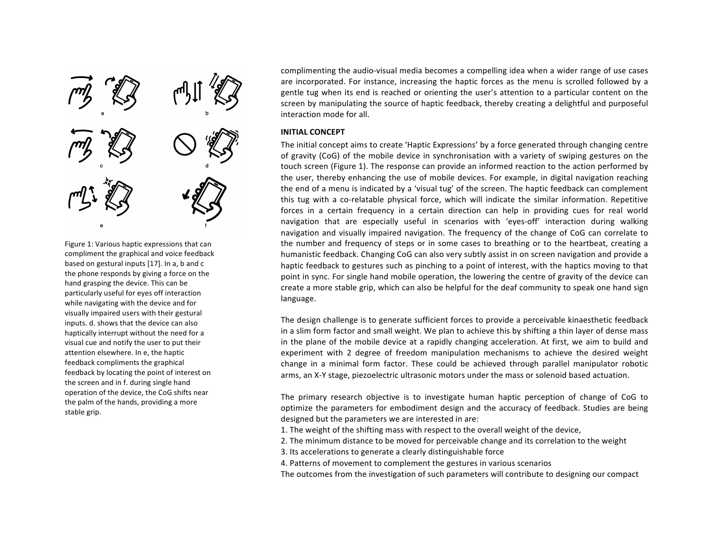

Figure 1: Various haptic expressions that can compliment the graphical and voice feedback based on gestural inputs [17]. In a, b and c the phone responds by giving a force on the hand grasping the device. This can be particularly useful for eyes off interaction while navigating with the device and for visually impaired users with their gestural inputs. d. shows that the device can also haptically interrupt without the need for a visual cue and notify the user to put their attention elsewhere. In e, the haptic feedback compliments the graphical feedback by locating the point of interest on the screen and in f. during single hand operation of the device, the CoG shifts near the palm of the hands, providing a more stable grip.

complimenting the audio-visual media becomes a compelling idea when a wider range of use cases are incorporated. For instance, increasing the haptic forces as the menu is scrolled followed by a gentle tug when its end is reached or orienting the user's attention to a particular content on the screen by manipulating the source of haptic feedback, thereby creating a delightful and purposeful interaction mode for all.

# **INITIAL CONCEPT**

The initial concept aims to create 'Haptic Expressions' by a force generated through changing centre of gravity (CoG) of the mobile device in synchronisation with a variety of swiping gestures on the touch screen (Figure 1). The response can provide an informed reaction to the action performed by the user, thereby enhancing the use of mobile devices. For example, in digital navigation reaching the end of a menu is indicated by a 'visual tug' of the screen. The haptic feedback can complement this tug with a co-relatable physical force, which will indicate the similar information. Repetitive forces in a certain frequency in a certain direction can help in providing cues for real world navigation that are especially useful in scenarios with 'eyes-off' interaction during walking navigation and visually impaired navigation. The frequency of the change of CoG can correlate to the number and frequency of steps or in some cases to breathing or to the heartbeat, creating a humanistic feedback. Changing CoG can also very subtly assist in on screen navigation and provide a haptic feedback to gestures such as pinching to a point of interest, with the haptics moving to that point in sync. For single hand mobile operation, the lowering the centre of gravity of the device can create a more stable grip, which can also be helpful for the deaf community to speak one hand sign language. 

The design challenge is to generate sufficient forces to provide a perceivable kinaesthetic feedback in a slim form factor and small weight. We plan to achieve this by shifting a thin layer of dense mass in the plane of the mobile device at a rapidly changing acceleration. At first, we aim to build and experiment with 2 degree of freedom manipulation mechanisms to achieve the desired weight change in a minimal form factor. These could be achieved through parallel manipulator robotic arms, an X-Y stage, piezoelectric ultrasonic motors under the mass or solenoid based actuation.

The primary research objective is to investigate human haptic perception of change of CoG to optimize the parameters for embodiment design and the accuracy of feedback. Studies are being designed but the parameters we are interested in are:

- 1. The weight of the shifting mass with respect to the overall weight of the device,
- 2. The minimum distance to be moved for perceivable change and its correlation to the weight
- 3. Its accelerations to generate a clearly distinguishable force
- 4. Patterns of movement to complement the gestures in various scenarios

The outcomes from the investigation of such parameters will contribute to designing our compact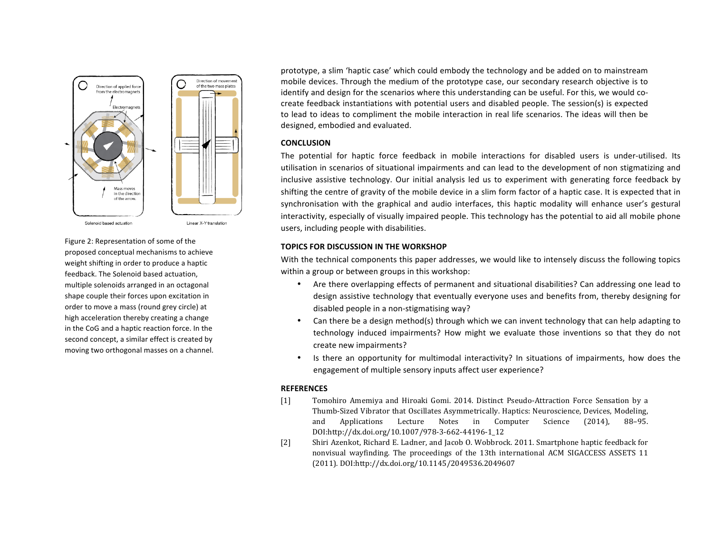

Figure 2: Representation of some of the proposed conceptual mechanisms to achieve weight shifting in order to produce a haptic feedback. The Solenoid based actuation, multiple solenoids arranged in an octagonal shape couple their forces upon excitation in order to move a mass (round grey circle) at high acceleration thereby creating a change in the CoG and a haptic reaction force. In the second concept, a similar effect is created by moving two orthogonal masses on a channel. prototype, a slim 'haptic case' which could embody the technology and be added on to mainstream mobile devices. Through the medium of the prototype case, our secondary research objective is to identify and design for the scenarios where this understanding can be useful. For this, we would cocreate feedback instantiations with potential users and disabled people. The session(s) is expected to lead to ideas to compliment the mobile interaction in real life scenarios. The ideas will then be designed, embodied and evaluated.

# **CONCLUSION**

The potential for haptic force feedback in mobile interactions for disabled users is under-utilised. Its utilisation in scenarios of situational impairments and can lead to the development of non stigmatizing and inclusive assistive technology. Our initial analysis led us to experiment with generating force feedback by shifting the centre of gravity of the mobile device in a slim form factor of a haptic case. It is expected that in synchronisation with the graphical and audio interfaces, this haptic modality will enhance user's gestural interactivity, especially of visually impaired people. This technology has the potential to aid all mobile phone users, including people with disabilities.

## **TOPICS FOR DISCUSSION IN THE WORKSHOP**

With the technical components this paper addresses, we would like to intensely discuss the following topics within a group or between groups in this workshop:

- Are there overlapping effects of permanent and situational disabilities? Can addressing one lead to design assistive technology that eventually everyone uses and benefits from, thereby designing for disabled people in a non-stigmatising way?
- Can there be a design method(s) through which we can invent technology that can help adapting to technology induced impairments? How might we evaluate those inventions so that they do not create new impairments?
- Is there an opportunity for multimodal interactivity? In situations of impairments, how does the engagement of multiple sensory inputs affect user experience?

## **REFERENCES**

- [1] Tomohiro Amemiya and Hiroaki Gomi. 2014. Distinct Pseudo-Attraction Force Sensation by a Thumb-Sized Vibrator that Oscillates Asymmetrically. Haptics: Neuroscience, Devices, Modeling, and Applications Lecture Notes in Computer Science (2014), 88-95. DOI:http://dx.doi.org/10.1007/978-3-662-44196-1\_12
- [2] Shiri Azenkot, Richard E. Ladner, and Jacob O. Wobbrock. 2011. Smartphone haptic feedback for nonvisual wayfinding. The proceedings of the 13th international ACM SIGACCESS ASSETS 11 (2011). DOI:http://dx.doi.org/10.1145/2049536.2049607